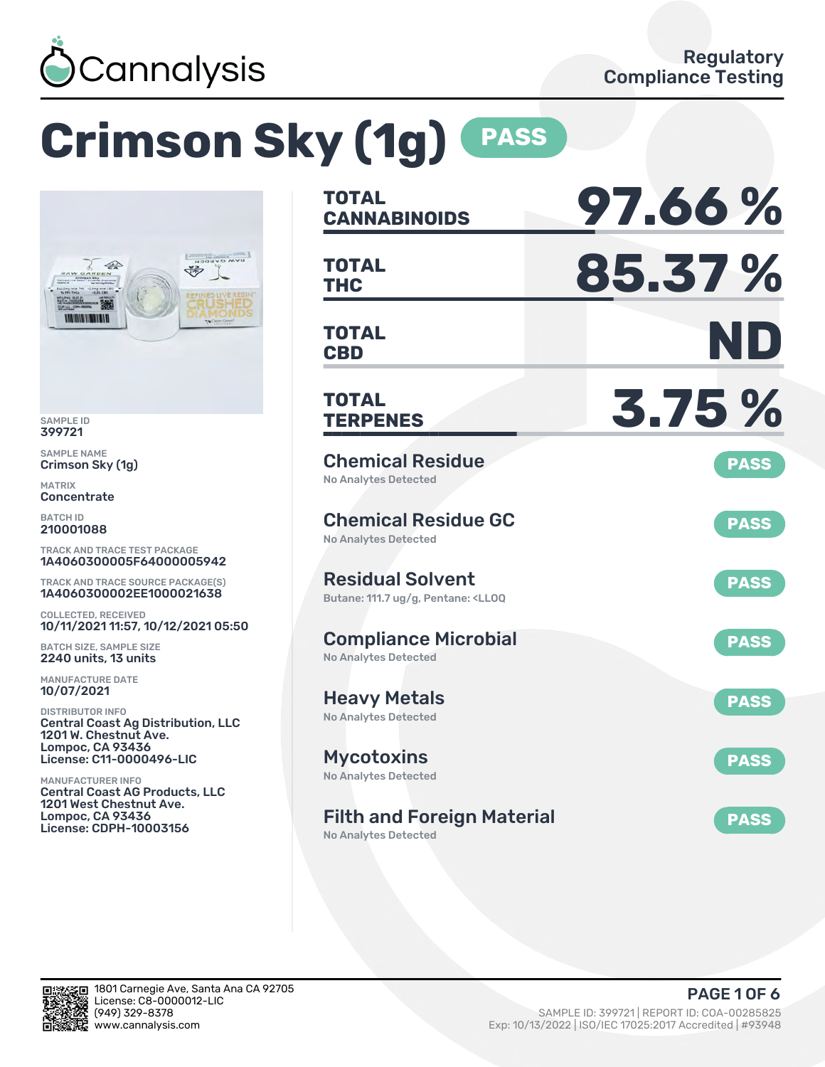

# **Crimson Sky (1g) PASS**



SAMPLE ID 399721

SAMPLE NAME Crimson Sky (1g)

MATRIX Concentrate

BATCH ID 210001088

TRACK AND TRACE TEST PACKAGE 1A4060300005F64000005942

TRACK AND TRACE SOURCE PACKAGE(S) 1A4060300002EE1000021638

COLLECTED, RECEIVED 10/11/2021 11:57, 10/12/2021 05:50

BATCH SIZE, SAMPLE SIZE 2240 units, 13 units

MANUFACTURE DATE 10/07/2021

DISTRIBUTOR INFO Central Coast Ag Distribution, LLC 1201 W. Chestnut Ave. Lompoc, CA 93436 License: C11-0000496-LIC

MANUFACTURER INFO Central Coast AG Products, LLC 1201 West Chestnut Ave. Lompoc, CA 93436 License: CDPH-10003156

| <b>TOTAL</b><br><b>CANNABINOIDS</b>                                                               | 97.66%      |
|---------------------------------------------------------------------------------------------------|-------------|
| <b>TOTAL</b><br>THC                                                                               | 85.37%      |
| <b>TOTAL</b><br><b>CBD</b>                                                                        | ND          |
| <b>TOTAL</b><br><b>TERPENES</b>                                                                   | 3.75 %      |
| <b>Chemical Residue</b><br><b>No Analytes Detected</b>                                            | <b>PASS</b> |
| <b>Chemical Residue GC</b><br><b>No Analytes Detected</b>                                         | <b>PASS</b> |
| <b>Residual Solvent</b><br>Butane: 111.7 ug/g, Pentane: <ll0q< td=""><td><b>PASS</b></td></ll0q<> | <b>PASS</b> |
| <b>Compliance Microbial</b><br><b>No Analytes Detected</b>                                        | <b>PASS</b> |
| <b>Heavy Metals</b><br><b>No Analytes Detected</b>                                                | <b>PASS</b> |
| <b>Mycotoxins</b><br>No Analytes Detected                                                         | <b>PASS</b> |
| <b>Filth and Foreign Material</b>                                                                 | <b>PASS</b> |

No Analytes Detected

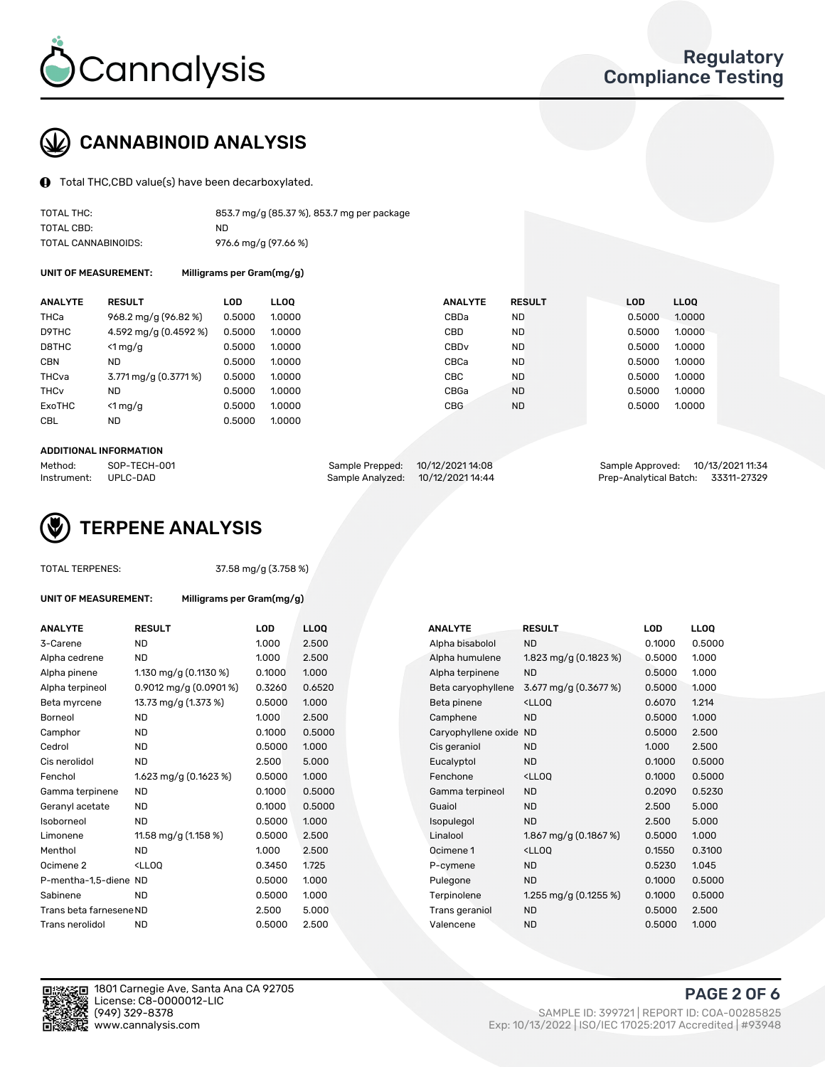

## CANNABINOID ANALYSIS

Total THC,CBD value(s) have been decarboxylated.

| TOTAL THC:          | 853.7 mg/g (85.37 %), 853.7 mg per package |
|---------------------|--------------------------------------------|
| TOTAL CBD:          | ND.                                        |
| TOTAL CANNABINOIDS: | 976.6 mg/g (97.66 %)                       |

UNIT OF MEASUREMENT: Milligrams per Gram(mg/g)

| <b>ANALYTE</b>         | <b>RESULT</b>         | LOD    | <b>LLOO</b> | <b>ANALYTE</b>   | <b>RESULT</b> | <b>LOD</b> | <b>LLOQ</b> |
|------------------------|-----------------------|--------|-------------|------------------|---------------|------------|-------------|
| THCa                   | 968.2 mg/g (96.82 %)  | 0.5000 | 1.0000      | CBDa             | <b>ND</b>     | 0.5000     | 1.0000      |
| D9THC                  | 4.592 mg/g (0.4592 %) | 0.5000 | 1.0000      | <b>CBD</b>       | <b>ND</b>     | 0.5000     | 1.0000      |
| D8THC                  | $<$ 1 mg/g            | 0.5000 | 1.0000      | CBD <sub>v</sub> | <b>ND</b>     | 0.5000     | 1.0000      |
| <b>CBN</b>             | ND.                   | 0.5000 | 1.0000      | CBCa             | <b>ND</b>     | 0.5000     | 1.0000      |
| THCva                  | 3.771 mg/g (0.3771 %) | 0.5000 | 1.0000      | <b>CBC</b>       | <b>ND</b>     | 0.5000     | 1.0000      |
| <b>THC<sub>v</sub></b> | <b>ND</b>             | 0.5000 | 1.0000      | CBGa             | <b>ND</b>     | 0.5000     | 1.0000      |
| ExoTHC                 | $<$ 1 mg/g            | 0.5000 | 1.0000      | <b>CBG</b>       | <b>ND</b>     | 0.5000     | 1.0000      |
| <b>CBL</b>             | ND.                   | 0.5000 | 1.0000      |                  |               |            |             |

#### ADDITIONAL INFORMATION

| Method:              | SOP-TECH-001 | Sample Prepped: 10/12/2021 14:08  | Sample Approved: 10/13/2021 11:34  |  |
|----------------------|--------------|-----------------------------------|------------------------------------|--|
| Instrument: UPLC-DAD |              | Sample Analyzed: 10/12/2021 14:44 | Prep-Analytical Batch: 33311-27329 |  |



TOTAL TERPENES: 37.58 mg/g (3.758 %)

| UNIT OF MEASUREMENT: | Milligrams per Gram(mg/g) |
|----------------------|---------------------------|
|                      |                           |

| <b>ANALYTE</b>          | <b>RESULT</b>            | LOD    | <b>LLOQ</b> | <b>ANALYTE</b>         | <b>RESULT</b>                                       | LOD    | <b>LLOQ</b> |
|-------------------------|--------------------------|--------|-------------|------------------------|-----------------------------------------------------|--------|-------------|
| 3-Carene                | ND.                      | 1.000  | 2.500       | Alpha bisabolol        | <b>ND</b>                                           | 0.1000 | 0.5000      |
| Alpha cedrene           | <b>ND</b>                | 1.000  | 2.500       | Alpha humulene         | 1.823 mg/g (0.1823 %)                               | 0.5000 | 1.000       |
| Alpha pinene            | 1.130 mg/g $(0.1130%)$   | 0.1000 | 1.000       | Alpha terpinene        | <b>ND</b>                                           | 0.5000 | 1.000       |
| Alpha terpineol         | 0.9012 mg/g $(0.0901\%)$ | 0.3260 | 0.6520      | Beta caryophyllene     | 3.677 mg/g (0.3677 %)                               | 0.5000 | 1.000       |
| Beta myrcene            | 13.73 mg/g (1.373 %)     | 0.5000 | 1.000       | Beta pinene            | <lloq< td=""><td>0.6070</td><td>1.214</td></lloq<>  | 0.6070 | 1.214       |
| <b>Borneol</b>          | <b>ND</b>                | 1.000  | 2.500       | Camphene               | <b>ND</b>                                           | 0.5000 | 1.000       |
| Camphor                 | <b>ND</b>                | 0.1000 | 0.5000      | Caryophyllene oxide ND |                                                     | 0.5000 | 2.500       |
| Cedrol                  | <b>ND</b>                | 0.5000 | 1.000       | Cis geraniol           | <b>ND</b>                                           | 1.000  | 2.500       |
| Cis nerolidol           | ND                       | 2.500  | 5.000       | Eucalyptol             | <b>ND</b>                                           | 0.1000 | 0.5000      |
| Fenchol                 | 1.623 mg/g (0.1623 %)    | 0.5000 | 1.000       | Fenchone               | <lloq< td=""><td>0.1000</td><td>0.5000</td></lloq<> | 0.1000 | 0.5000      |
| Gamma terpinene         | <b>ND</b>                | 0.1000 | 0.5000      | Gamma terpineol        | <b>ND</b>                                           | 0.2090 | 0.5230      |
| Geranyl acetate         | ND.                      | 0.1000 | 0.5000      | Guaiol                 | <b>ND</b>                                           | 2.500  | 5.000       |
| Isoborneol              | <b>ND</b>                | 0.5000 | 1.000       | Isopulegol             | <b>ND</b>                                           | 2.500  | 5.000       |
| Limonene                | 11.58 mg/g (1.158 %)     | 0.5000 | 2.500       | Linalool               | 1.867 mg/g $(0.1867%)$                              | 0.5000 | 1.000       |
| Menthol                 | <b>ND</b>                | 1.000  | 2.500       | Ocimene 1              | <lloq< td=""><td>0.1550</td><td>0.3100</td></lloq<> | 0.1550 | 0.3100      |
| Ocimene 2               | $<$ LLOO                 | 0.3450 | 1.725       | P-cymene               | <b>ND</b>                                           | 0.5230 | 1.045       |
| P-mentha-1.5-diene ND   |                          | 0.5000 | 1.000       | Pulegone               | <b>ND</b>                                           | 0.1000 | 0.5000      |
| Sabinene                | <b>ND</b>                | 0.5000 | 1.000       | Terpinolene            | 1.255 mg/g $(0.1255\%)$                             | 0.1000 | 0.5000      |
| Trans beta farnesene ND |                          | 2.500  | 5.000       | Trans geraniol         | <b>ND</b>                                           | 0.5000 | 2.500       |
| Trans nerolidol         | <b>ND</b>                | 0.5000 | 2.500       | Valencene              | <b>ND</b>                                           | 0.5000 | 1.000       |
|                         |                          |        |             |                        |                                                     |        |             |

| ANALYIE                 | RESULI                                                                                                             | LUD    | LLUU   | <b>ANALYIE</b>         | <b>KESULI</b>                                       | LUD    | LLUU   |
|-------------------------|--------------------------------------------------------------------------------------------------------------------|--------|--------|------------------------|-----------------------------------------------------|--------|--------|
| 3-Carene                | <b>ND</b>                                                                                                          | 1.000  | 2.500  | Alpha bisabolol        | <b>ND</b>                                           | 0.1000 | 0.5000 |
| Alpha cedrene           | <b>ND</b>                                                                                                          | 1.000  | 2.500  | Alpha humulene         | 1.823 mg/g $(0.1823\%)$                             | 0.5000 | 1.000  |
| Alpha pinene            | 1.130 mg/g $(0.1130\%)$                                                                                            | 0.1000 | 1.000  | Alpha terpinene        | <b>ND</b>                                           | 0.5000 | 1.000  |
| Alpha terpineol         | 0.9012 mg/g $(0.0901\%)$                                                                                           | 0.3260 | 0.6520 | Beta caryophyllene     | 3.677 mg/g (0.3677 %)                               | 0.5000 | 1.000  |
| Beta myrcene            | 13.73 mg/g (1.373 %)                                                                                               | 0.5000 | 1.000  | Beta pinene            | <lloq< td=""><td>0.6070</td><td>1.214</td></lloq<>  | 0.6070 | 1.214  |
| Borneol                 | <b>ND</b>                                                                                                          | 1.000  | 2.500  | Camphene               | <b>ND</b>                                           | 0.5000 | 1.000  |
| Camphor                 | <b>ND</b>                                                                                                          | 0.1000 | 0.5000 | Caryophyllene oxide ND |                                                     | 0.5000 | 2.500  |
| Cedrol                  | <b>ND</b>                                                                                                          | 0.5000 | 1.000  | Cis geraniol           | <b>ND</b>                                           | 1.000  | 2.500  |
| Cis nerolidol           | <b>ND</b>                                                                                                          | 2.500  | 5.000  | Eucalyptol             | <b>ND</b>                                           | 0.1000 | 0.5000 |
| Fenchol                 | 1.623 mg/g $(0.1623%)$                                                                                             | 0.5000 | 1.000  | Fenchone               | <lloq< td=""><td>0.1000</td><td>0.5000</td></lloq<> | 0.1000 | 0.5000 |
| Gamma terpinene         | ND.                                                                                                                | 0.1000 | 0.5000 | Gamma terpineol        | <b>ND</b>                                           | 0.2090 | 0.5230 |
| Geranyl acetate         | <b>ND</b>                                                                                                          | 0.1000 | 0.5000 | Guaiol                 | <b>ND</b>                                           | 2.500  | 5.000  |
| Isoborneol              | <b>ND</b>                                                                                                          | 0.5000 | 1.000  | Isopulegol             | <b>ND</b>                                           | 2.500  | 5.000  |
| Limonene                | 11.58 mg/g $(1.158\%)$                                                                                             | 0.5000 | 2.500  | Linalool               | 1.867 mg/g $(0.1867%)$                              | 0.5000 | 1.000  |
| Menthol                 | <b>ND</b>                                                                                                          | 1.000  | 2.500  | Ocimene 1              | <ll0q< td=""><td>0.1550</td><td>0.3100</td></ll0q<> | 0.1550 | 0.3100 |
| Ocimene 2               | <lloq< td=""><td>0.3450</td><td>1.725</td><td>P-cymene</td><td><b>ND</b></td><td>0.5230</td><td>1.045</td></lloq<> | 0.3450 | 1.725  | P-cymene               | <b>ND</b>                                           | 0.5230 | 1.045  |
| P-mentha-1,5-diene ND   |                                                                                                                    | 0.5000 | 1.000  | Pulegone               | <b>ND</b>                                           | 0.1000 | 0.5000 |
| Sabinene                | <b>ND</b>                                                                                                          | 0.5000 | 1.000  | Terpinolene            | 1.255 mg/g $(0.1255\%)$                             | 0.1000 | 0.5000 |
| Trans beta farnesene ND |                                                                                                                    | 2.500  | 5.000  | Trans geraniol         | <b>ND</b>                                           | 0.5000 | 2.500  |
| Trans nerolidol         | <b>ND</b>                                                                                                          | 0.5000 | 2.500  | Valencene              | <b>ND</b>                                           | 0.5000 | 1.000  |
|                         |                                                                                                                    |        |        |                        |                                                     |        |        |



1801 Carnegie Ave, Santa Ana CA 92705 License: C8-0000012-LIC<br>(949) 329-8378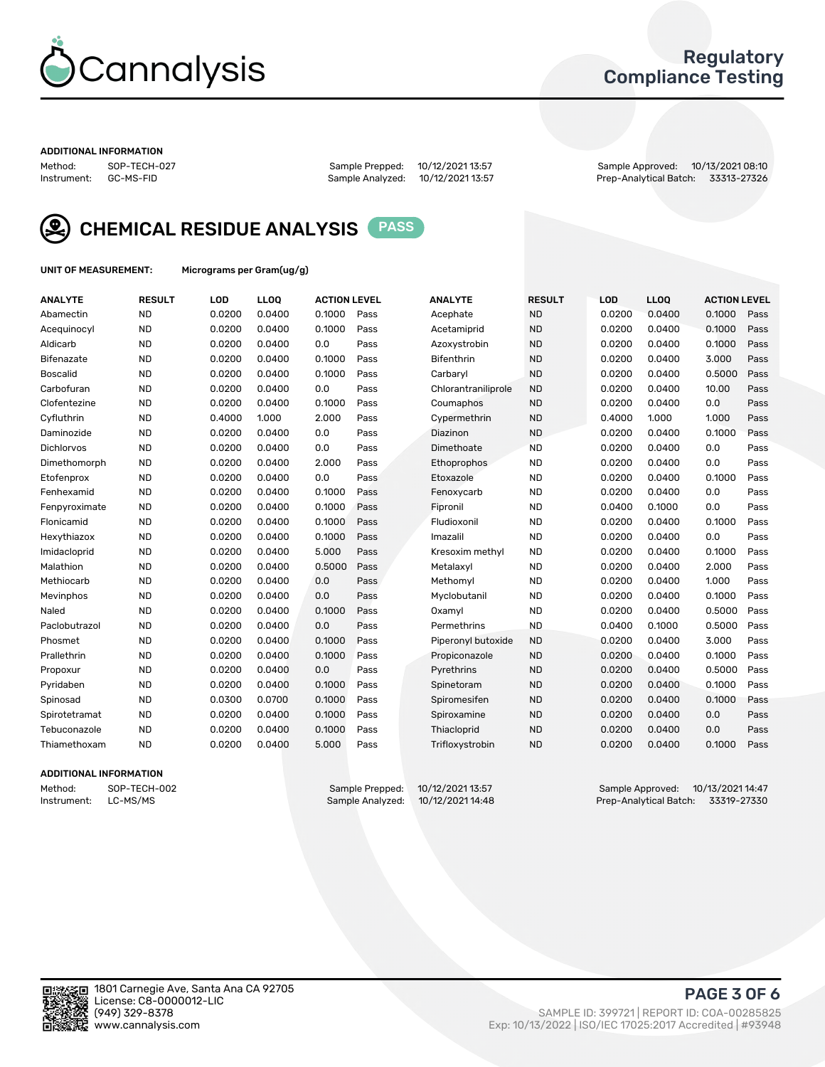

### Regulatory Compliance Testing

#### ADDITIONAL INFORMATION

Method: SOP-TECH-027 Sample Prepped: 10/12/2021 13:57 Sample Approved: 10/13/2021 08:10 Prep-Analytical Batch: 33313-27326



CHEMICAL RESIDUE ANALYSIS PASS

UNIT OF MEASUREMENT: Micrograms per Gram(ug/g)

| <b>ANALYTE</b>    | <b>RESULT</b> | LOD    | LLOQ   | <b>ACTION LEVEL</b> |      | <b>ANALYTE</b>      | <b>RESULT</b> | LOD    | <b>LLOQ</b> | <b>ACTION LEVEL</b> |      |
|-------------------|---------------|--------|--------|---------------------|------|---------------------|---------------|--------|-------------|---------------------|------|
| Abamectin         | <b>ND</b>     | 0.0200 | 0.0400 | 0.1000              | Pass | Acephate            | <b>ND</b>     | 0.0200 | 0.0400      | 0.1000              | Pass |
| Acequinocyl       | <b>ND</b>     | 0.0200 | 0.0400 | 0.1000              | Pass | Acetamiprid         | <b>ND</b>     | 0.0200 | 0.0400      | 0.1000              | Pass |
| Aldicarb          | <b>ND</b>     | 0.0200 | 0.0400 | 0.0                 | Pass | Azoxystrobin        | <b>ND</b>     | 0.0200 | 0.0400      | 0.1000              | Pass |
| Bifenazate        | <b>ND</b>     | 0.0200 | 0.0400 | 0.1000              | Pass | <b>Bifenthrin</b>   | <b>ND</b>     | 0.0200 | 0.0400      | 3.000               | Pass |
| <b>Boscalid</b>   | <b>ND</b>     | 0.0200 | 0.0400 | 0.1000              | Pass | Carbarvl            | <b>ND</b>     | 0.0200 | 0.0400      | 0.5000              | Pass |
| Carbofuran        | <b>ND</b>     | 0.0200 | 0.0400 | 0.0                 | Pass | Chlorantraniliprole | <b>ND</b>     | 0.0200 | 0.0400      | 10.00               | Pass |
| Clofentezine      | <b>ND</b>     | 0.0200 | 0.0400 | 0.1000              | Pass | Coumaphos           | <b>ND</b>     | 0.0200 | 0.0400      | 0.0                 | Pass |
| Cyfluthrin        | <b>ND</b>     | 0.4000 | 1.000  | 2.000               | Pass | Cypermethrin        | <b>ND</b>     | 0.4000 | 1.000       | 1.000               | Pass |
| Daminozide        | <b>ND</b>     | 0.0200 | 0.0400 | 0.0                 | Pass | Diazinon            | <b>ND</b>     | 0.0200 | 0.0400      | 0.1000              | Pass |
| <b>Dichlorvos</b> | <b>ND</b>     | 0.0200 | 0.0400 | 0.0                 | Pass | Dimethoate          | <b>ND</b>     | 0.0200 | 0.0400      | 0.0                 | Pass |
| Dimethomorph      | <b>ND</b>     | 0.0200 | 0.0400 | 2.000               | Pass | <b>Ethoprophos</b>  | <b>ND</b>     | 0.0200 | 0.0400      | 0.0                 | Pass |
| Etofenprox        | <b>ND</b>     | 0.0200 | 0.0400 | 0.0                 | Pass | Etoxazole           | <b>ND</b>     | 0.0200 | 0.0400      | 0.1000              | Pass |
| Fenhexamid        | <b>ND</b>     | 0.0200 | 0.0400 | 0.1000              | Pass | Fenoxycarb          | <b>ND</b>     | 0.0200 | 0.0400      | 0.0                 | Pass |
| Fenpyroximate     | <b>ND</b>     | 0.0200 | 0.0400 | 0.1000              | Pass | Fipronil            | <b>ND</b>     | 0.0400 | 0.1000      | 0.0                 | Pass |
| Flonicamid        | <b>ND</b>     | 0.0200 | 0.0400 | 0.1000              | Pass | Fludioxonil         | <b>ND</b>     | 0.0200 | 0.0400      | 0.1000              | Pass |
| Hexythiazox       | <b>ND</b>     | 0.0200 | 0.0400 | 0.1000              | Pass | Imazalil            | <b>ND</b>     | 0.0200 | 0.0400      | 0.0                 | Pass |
| Imidacloprid      | <b>ND</b>     | 0.0200 | 0.0400 | 5.000               | Pass | Kresoxim methyl     | <b>ND</b>     | 0.0200 | 0.0400      | 0.1000              | Pass |
| Malathion         | <b>ND</b>     | 0.0200 | 0.0400 | 0.5000              | Pass | Metalaxyl           | <b>ND</b>     | 0.0200 | 0.0400      | 2.000               | Pass |
| Methiocarb        | <b>ND</b>     | 0.0200 | 0.0400 | 0.0                 | Pass | Methomyl            | <b>ND</b>     | 0.0200 | 0.0400      | 1.000               | Pass |
| Mevinphos         | <b>ND</b>     | 0.0200 | 0.0400 | 0.0                 | Pass | Myclobutanil        | <b>ND</b>     | 0.0200 | 0.0400      | 0.1000              | Pass |
| Naled             | <b>ND</b>     | 0.0200 | 0.0400 | 0.1000              | Pass | Oxamyl              | <b>ND</b>     | 0.0200 | 0.0400      | 0.5000              | Pass |
| Paclobutrazol     | <b>ND</b>     | 0.0200 | 0.0400 | 0.0                 | Pass | Permethrins         | <b>ND</b>     | 0.0400 | 0.1000      | 0.5000              | Pass |
| Phosmet           | <b>ND</b>     | 0.0200 | 0.0400 | 0.1000              | Pass | Piperonyl butoxide  | <b>ND</b>     | 0.0200 | 0.0400      | 3.000               | Pass |
| Prallethrin       | <b>ND</b>     | 0.0200 | 0.0400 | 0.1000              | Pass | Propiconazole       | <b>ND</b>     | 0.0200 | 0.0400      | 0.1000              | Pass |
| Propoxur          | <b>ND</b>     | 0.0200 | 0.0400 | 0.0                 | Pass | Pyrethrins          | <b>ND</b>     | 0.0200 | 0.0400      | 0.5000              | Pass |
| Pyridaben         | <b>ND</b>     | 0.0200 | 0.0400 | 0.1000              | Pass | Spinetoram          | <b>ND</b>     | 0.0200 | 0.0400      | 0.1000              | Pass |
| Spinosad          | <b>ND</b>     | 0.0300 | 0.0700 | 0.1000              | Pass | Spiromesifen        | <b>ND</b>     | 0.0200 | 0.0400      | 0.1000              | Pass |
| Spirotetramat     | <b>ND</b>     | 0.0200 | 0.0400 | 0.1000              | Pass | Spiroxamine         | <b>ND</b>     | 0.0200 | 0.0400      | 0.0                 | Pass |
| Tebuconazole      | <b>ND</b>     | 0.0200 | 0.0400 | 0.1000              | Pass | Thiacloprid         | <b>ND</b>     | 0.0200 | 0.0400      | 0.0                 | Pass |
| Thiamethoxam      | <b>ND</b>     | 0.0200 | 0.0400 | 5.000               | Pass | Trifloxystrobin     | <b>ND</b>     | 0.0200 | 0.0400      | 0.1000              | Pass |

### ADDITIONAL INFORMATION

Method: SOP-TECH-002 Sample Prepped: 10/12/2021 13:57 Sample Approved: 10/13/2021 14:47<br>Sample Analyzed: 10/12/2021 14:48 Prep-Analytical Batch: 33319-27330 Prep-Analytical Batch: 33319-27330

PAGE 3 OF 6

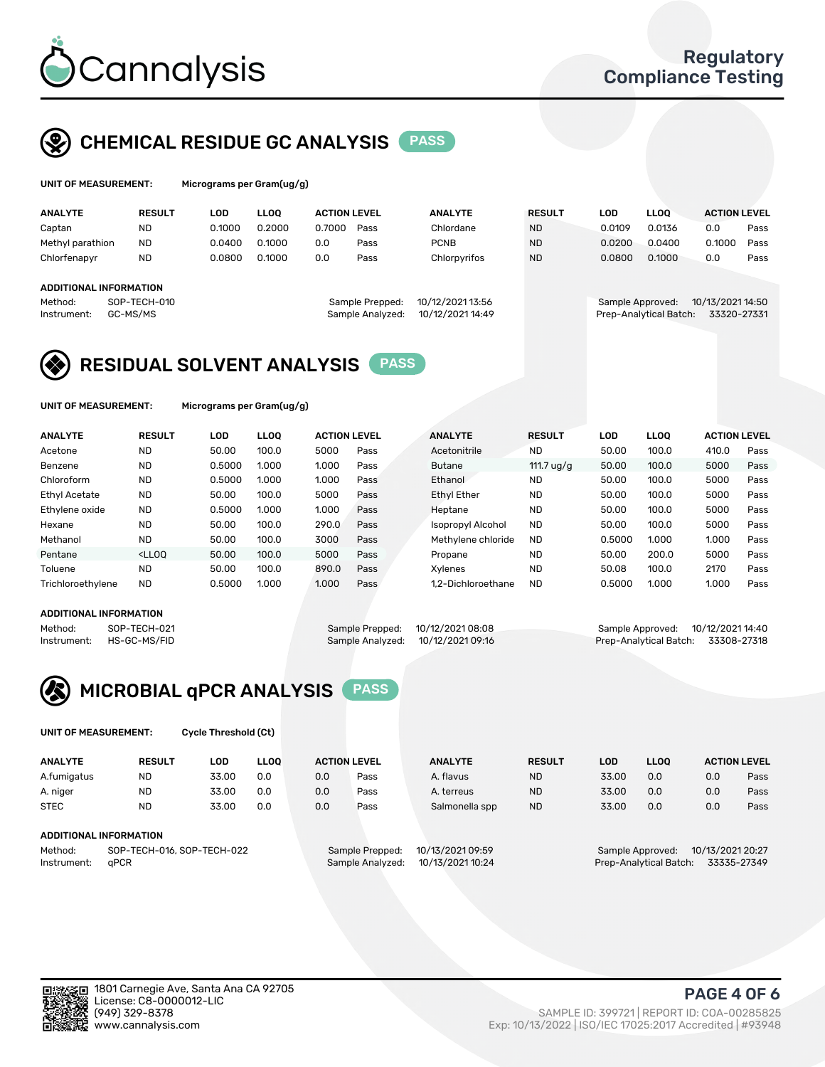

### CHEMICAL RESIDUE GC ANALYSIS PASS

| UNIT OF MEASUREMENT: |               | Micrograms per Gram(ug/g) |        |                     |      |                |               |        |             |                     |      |
|----------------------|---------------|---------------------------|--------|---------------------|------|----------------|---------------|--------|-------------|---------------------|------|
| <b>ANALYTE</b>       | <b>RESULT</b> | LOD                       | LLOO   | <b>ACTION LEVEL</b> |      | <b>ANALYTE</b> | <b>RESULT</b> | LOD    | <b>LLOO</b> | <b>ACTION LEVEL</b> |      |
| Captan               | <b>ND</b>     | 0.1000                    | 0.2000 | 0.7000              | Pass | Chlordane      | <b>ND</b>     | 0.0109 | 0.0136      | 0.0                 | Pass |
| Methyl parathion     | <b>ND</b>     | 0.0400                    | 0.1000 | 0.0                 | Pass | <b>PCNB</b>    | <b>ND</b>     | 0.0200 | 0.0400      | ን.1000              | Pass |

|         | ADDITIONAL INFORMATION |  |
|---------|------------------------|--|
| Mathod. | SOP_TECH_010           |  |

| epped:  | 10/12/2021 13:56 |
|---------|------------------|
| alyzed: | 10/12/2021 14:49 |
|         |                  |

Chlorfenapyr ND 0.0800 0.1000 0.0 Pass Chlorpyrifos ND 0.0800 0.1000 0.0 Pass

#### Method: SOP-TECH-010 Sample Prepped: 10/12/2021 13:56 Sample Approved: 10/13/2021 14:50 Instrument: GC-MS/MS Sample Analyzed: 10/12/2021 14:49 Prep-Analytical Batch: 33320-27331

### RESIDUAL SOLVENT ANALYSIS PASS

UNIT OF MEASUREMENT: Micrograms per Gram(ug/g)

| <b>ANALYTE</b>       | <b>RESULT</b>                                                                                                                                                       | LOD    | <b>LLOO</b> | <b>ACTION LEVEL</b> |      | <b>ANALYTE</b>     | <b>RESULT</b> | LOD    | <b>LLOO</b> | <b>ACTION LEVEL</b> |      |
|----------------------|---------------------------------------------------------------------------------------------------------------------------------------------------------------------|--------|-------------|---------------------|------|--------------------|---------------|--------|-------------|---------------------|------|
| Acetone              | <b>ND</b>                                                                                                                                                           | 50.00  | 100.0       | 5000                | Pass | Acetonitrile       | <b>ND</b>     | 50.00  | 100.0       | 410.0               | Pass |
| Benzene              | <b>ND</b>                                                                                                                                                           | 0.5000 | 1.000       | 1.000               | Pass | <b>Butane</b>      | 111.7 $uq/q$  | 50.00  | 100.0       | 5000                | Pass |
| Chloroform           | <b>ND</b>                                                                                                                                                           | 0.5000 | 1.000       | 1.000               | Pass | Ethanol            | <b>ND</b>     | 50.00  | 100.0       | 5000                | Pass |
| <b>Ethyl Acetate</b> | <b>ND</b>                                                                                                                                                           | 50.00  | 100.0       | 5000                | Pass | Ethyl Ether        | <b>ND</b>     | 50.00  | 100.0       | 5000                | Pass |
| Ethylene oxide       | <b>ND</b>                                                                                                                                                           | 0.5000 | 1.000       | 1.000               | Pass | Heptane            | <b>ND</b>     | 50.00  | 100.0       | 5000                | Pass |
| Hexane               | <b>ND</b>                                                                                                                                                           | 50.00  | 100.0       | 290.0               | Pass | Isopropyl Alcohol  | <b>ND</b>     | 50.00  | 100.0       | 5000                | Pass |
| Methanol             | <b>ND</b>                                                                                                                                                           | 50.00  | 100.0       | 3000                | Pass | Methylene chloride | <b>ND</b>     | 0.5000 | 1.000       | 1.000               | Pass |
| Pentane              | <lloo< td=""><td>50.00</td><td>100.0</td><td>5000</td><td>Pass</td><td>Propane</td><td><b>ND</b></td><td>50.00</td><td>200.0</td><td>5000</td><td>Pass</td></lloo<> | 50.00  | 100.0       | 5000                | Pass | Propane            | <b>ND</b>     | 50.00  | 200.0       | 5000                | Pass |
| Toluene              | <b>ND</b>                                                                                                                                                           | 50.00  | 100.0       | 890.0               | Pass | Xylenes            | <b>ND</b>     | 50.08  | 100.0       | 2170                | Pass |
| Trichloroethylene    | <b>ND</b>                                                                                                                                                           | 0.5000 | 1.000       | 1.000               | Pass | 1.2-Dichloroethane | <b>ND</b>     | 0.5000 | 1.000       | 1.000               | Pass |

### ADDITIONAL INFORMATION

Method: SOP-TECH-021 Sample Prepped: 10/12/2021 08:08 Sample Approved: 10/12/2021 14:40<br>Instrument: HS-GC-MS/FID Sample Analyzed: 10/12/2021 09:16 Prep-Analytical Batch: 33308-27318 Prep-Analytical Batch: 33308-27318



UNIT OF MEASUREMENT: Cycle Threshold (Ct)

| <b>ANALYTE</b> | <b>RESULT</b>              | LOD   | <b>LLOO</b> |                 | <b>ACTION LEVEL</b> | <b>ANALYTE</b>   | <b>RESULT</b>                         | LOD   | <b>LLOO</b> | <b>ACTION LEVEL</b> |      |
|----------------|----------------------------|-------|-------------|-----------------|---------------------|------------------|---------------------------------------|-------|-------------|---------------------|------|
| A.fumigatus    | <b>ND</b>                  | 33.00 | 0.0         | 0.0             | Pass                | A. flavus        | <b>ND</b>                             | 33.00 | 0.0         | 0.0                 | Pass |
| A. niger       | <b>ND</b>                  | 33.00 | 0.0         | 0.0             | Pass                | A. terreus       | <b>ND</b>                             | 33.00 | 0.0         | 0.0                 | Pass |
| <b>STEC</b>    | <b>ND</b>                  | 33.00 | 0.0         | 0.0             | Pass                | Salmonella spp   | <b>ND</b>                             | 33.00 | 0.0         | 0.0                 | Pass |
|                | ADDITIONAL INFORMATION     |       |             |                 |                     |                  |                                       |       |             |                     |      |
| Method:        | SOP-TECH-016, SOP-TECH-022 |       |             | Sample Prepped: | 10/13/2021 09:59    |                  | 10/13/2021 20:27<br>Sample Approved:  |       |             |                     |      |
| Instrument:    | aPCR                       |       |             |                 | Sample Analyzed:    | 10/13/2021 10:24 | Prep-Analytical Batch:<br>33335-27349 |       |             |                     |      |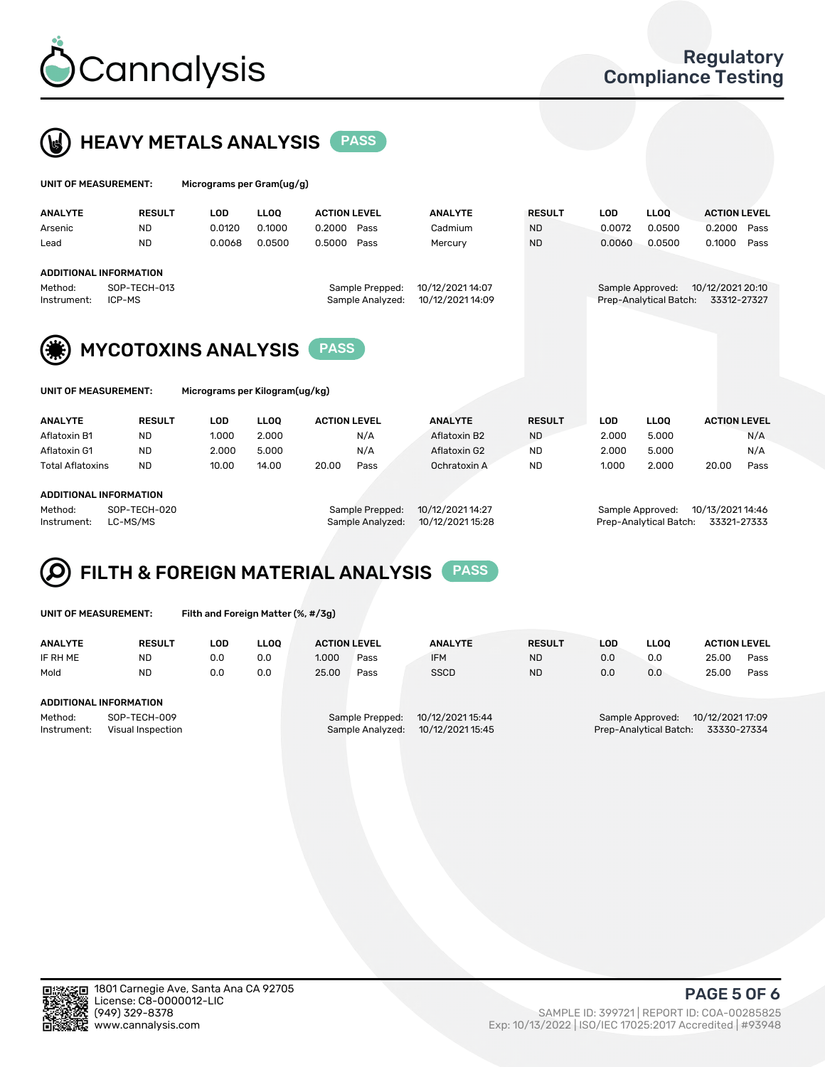



| UNIT OF MEASUREMENT:                                   |                               | Micrograms per Gram(ug/g) |             |                     |                  |                                      |            |                        |                     |  |  |
|--------------------------------------------------------|-------------------------------|---------------------------|-------------|---------------------|------------------|--------------------------------------|------------|------------------------|---------------------|--|--|
| <b>ANALYTE</b>                                         | <b>RESULT</b>                 | <b>LOD</b>                | <b>LLOO</b> | <b>ACTION LEVEL</b> | <b>ANALYTE</b>   | <b>RESULT</b>                        | <b>LOD</b> | <b>LLOO</b>            | <b>ACTION LEVEL</b> |  |  |
| Arsenic                                                | <b>ND</b>                     | 0.0120                    | 0.1000      | 0.2000<br>Pass      | Cadmium          | <b>ND</b>                            | 0.0072     | 0.0500                 | Pass<br>0.2000      |  |  |
| Lead                                                   | <b>ND</b>                     | 0.0068                    | 0.0500      | 0.5000<br>Pass      | Mercury          | <b>ND</b>                            | 0.0060     | 0.0500                 | 0.1000<br>Pass      |  |  |
|                                                        | <b>ADDITIONAL INFORMATION</b> |                           |             |                     |                  |                                      |            |                        |                     |  |  |
| Method:                                                | SOP-TECH-013                  |                           |             | Sample Prepped:     |                  | 10/12/2021 20:10<br>Sample Approved: |            |                        |                     |  |  |
| Instrument:                                            | ICP-MS                        |                           |             | Sample Analyzed:    | 10/12/2021 14:09 |                                      |            | Prep-Analytical Batch: | 33312-27327         |  |  |
| (纂)                                                    | <b>MYCOTOXINS ANALYSIS</b>    |                           |             | <b>PASS</b>         |                  |                                      |            |                        |                     |  |  |
| Micrograms per Kilogram(ug/kg)<br>UNIT OF MEASUREMENT: |                               |                           |             |                     |                  |                                      |            |                        |                     |  |  |

| ANALYTE                | <b>RESULT</b> | LOD   | <b>LLOO</b> | <b>ACTION LEVEL</b> |      | <b>ANALYTE</b> | <b>RESULT</b> | LOD   | <b>LLOO</b> | <b>ACTION LEVEL</b> |      |
|------------------------|---------------|-------|-------------|---------------------|------|----------------|---------------|-------|-------------|---------------------|------|
| Aflatoxin B1           | <b>ND</b>     | 1.000 | 2.000       |                     | N/A  | Aflatoxin B2   | <b>ND</b>     | 2.000 | 5.000       |                     | N/A  |
| Aflatoxin G1           | <b>ND</b>     | 2.000 | 5.000       |                     | N/A  | Aflatoxin G2   | <b>ND</b>     | 2.000 | 5.000       |                     | N/A  |
| Total Aflatoxins       | <b>ND</b>     | 10.00 | 14.00       | 20.00               | Pass | Ochratoxin A   | <b>ND</b>     | 1.000 | 2.000       | 20.00               | Pass |
| ADDITIONAL INFORMATION |               |       |             |                     |      |                |               |       |             |                     |      |

Method: SOP-TECH-020 Sample Prepped: 10/12/2021 14:27 Sample Approved: 10/13/2021 14:46 Instrument: LC-MS/MS Sample Analyzed: 10/12/2021 15:28 Prep-Analytical Batch: 33321-27333

# FILTH & FOREIGN MATERIAL ANALYSIS PASS

UNIT OF MEASUREMENT: Filth and Foreign Matter (%, #/3g)

| <b>ANALYTE</b>                                              | <b>RESULT</b> | LOD | <b>LLOO</b> | <b>ACTION LEVEL</b> |                                     | <b>ANALYTE</b>                       | <b>RESULT</b> | LOD | LLOO                                       | <b>ACTION LEVEL</b>             |      |
|-------------------------------------------------------------|---------------|-----|-------------|---------------------|-------------------------------------|--------------------------------------|---------------|-----|--------------------------------------------|---------------------------------|------|
| IF RH ME                                                    | <b>ND</b>     | 0.0 | 0.0         | 1.000               | Pass                                | <b>IFM</b>                           | <b>ND</b>     | 0.0 | 0.0                                        | 25.00                           | Pass |
| Mold                                                        | <b>ND</b>     | 0.0 | 0.0         | 25.00               | Pass                                | <b>SSCD</b>                          | <b>ND</b>     | 0.0 | 0.0                                        | 25.00                           | Pass |
| <b>ADDITIONAL INFORMATION</b>                               |               |     |             |                     |                                     |                                      |               |     |                                            |                                 |      |
| Method:<br>SOP-TECH-009<br>Instrument:<br>Visual Inspection |               |     |             |                     | Sample Prepped:<br>Sample Analyzed: | 10/12/2021 15:44<br>10/12/2021 15:45 |               |     | Sample Approved:<br>Prep-Analytical Batch: | 10/12/2021 17:09<br>33330-27334 |      |



PAGE 5 OF 6